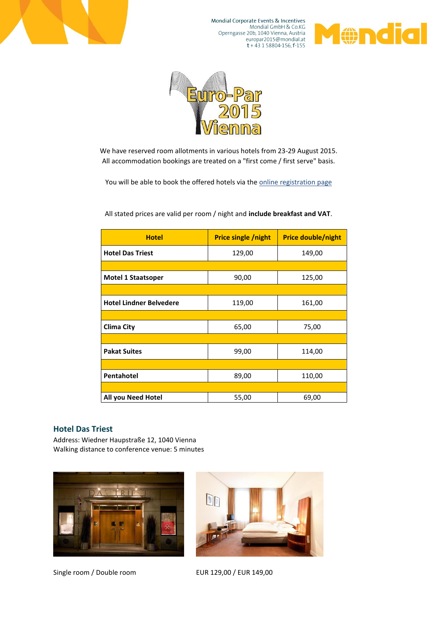

Mondial Corporate Events & Incentives Mondial GmbH & Co.KG<br>Mondial GmbH & Co.KG<br>Operngasse 20b, 1040 Vienna, Austria europar2015@mondial.at<br>t + 43 1 58804-156, f-155





We have reserved room allotments in various hotels from 23-29 August 2015. All accommodation bookings are treated on a "first come / first serve" basis.

You will be able to book the offered hotels via th[e online registration](https://www.eventure-online.com/eventure/personalData.do) page

| <b>Hotel</b>                   | <b>Price single /night</b> | <b>Price double/night</b> |
|--------------------------------|----------------------------|---------------------------|
| <b>Hotel Das Triest</b>        | 129,00                     | 149,00                    |
|                                |                            |                           |
| <b>Motel 1 Staatsoper</b>      | 90,00                      | 125,00                    |
|                                |                            |                           |
| <b>Hotel Lindner Belvedere</b> | 119,00                     | 161,00                    |
|                                |                            |                           |
| Clima City                     | 65,00                      | 75,00                     |
|                                |                            |                           |
| <b>Pakat Suites</b>            | 99,00                      | 114,00                    |
|                                |                            |                           |
| Pentahotel                     | 89,00                      | 110,00                    |
|                                |                            |                           |
| All you Need Hotel             | 55,00                      | 69,00                     |

All stated prices are valid per room / night and **include breakfast and VAT**.

#### **Hotel Das Triest**

Address: Wiedner Haupstraße 12, 1040 Vienna Walking distance to conference venue: 5 minutes



Single room / Double room EUR 129,00 / EUR 149,00

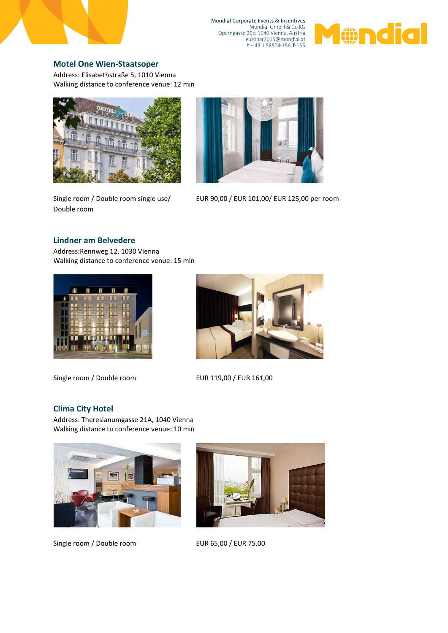

Mondial Corporate Events & Incentives Mondial GmbH & Co.KG<br>Mondial GmbH & Co.KG<br>Operngasse 20b, 1040 Vienna, Austria 



# **[Motel One Wien-Staatsoper](http://www.motel-one.com/en/hotels/vienna/wien-staatsoper/)**

Address: Elisabethstraße 5, 1010 Vienna Walking distance to conference venue: 12 min



Single room / Double room single use/ Double room



EUR 90,00 / EUR 101,00/ EUR 125,00 per room

### **Lindner am Belvedere**

Address:Rennweg 12, 1030 Vienna Walking distance to conference venue: 15 min



Single room / Double room EUR 119,00 / EUR 161,00



# **Clima City Hotel**

Address: Theresianumgasse 21A, 1040 Vienna Walking distance to conference venue: 10 min



Single room / Double room EUR 65,00 / EUR 75,00